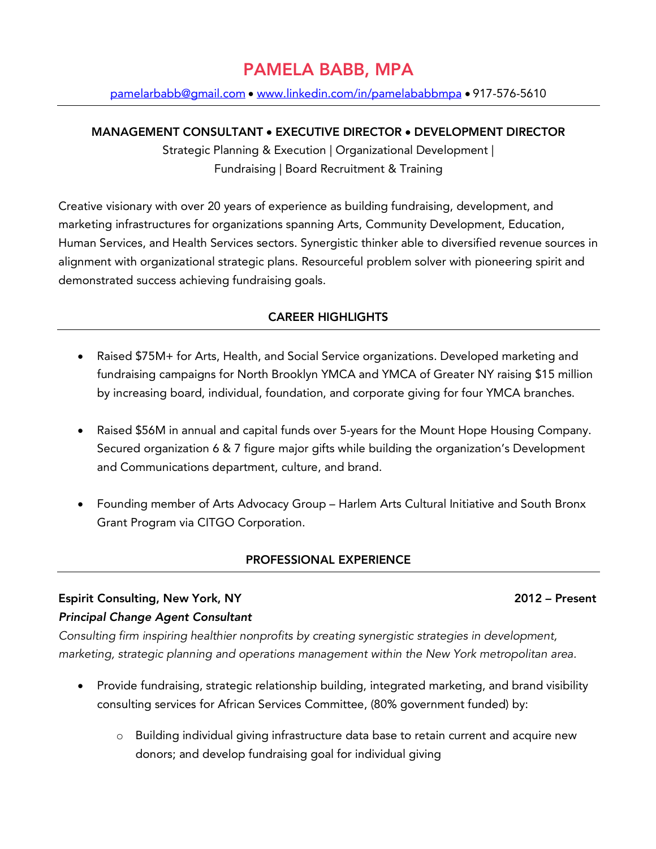# PAMELA BABB, MPA

pamelarbabb@gmail.com • www.linkedin.com/in/pamelababbmpa • 917-576-5610

#### MANAGEMENT CONSULTANT • EXECUTIVE DIRECTOR • DEVELOPMENT DIRECTOR

Strategic Planning & Execution | Organizational Development | Fundraising | Board Recruitment & Training

Creative visionary with over 20 years of experience as building fundraising, development, and marketing infrastructures for organizations spanning Arts, Community Development, Education, Human Services, and Health Services sectors. Synergistic thinker able to diversified revenue sources in alignment with organizational strategic plans. Resourceful problem solver with pioneering spirit and demonstrated success achieving fundraising goals.

### CAREER HIGHLIGHTS

- Raised \$75M+ for Arts, Health, and Social Service organizations. Developed marketing and fundraising campaigns for North Brooklyn YMCA and YMCA of Greater NY raising \$15 million by increasing board, individual, foundation, and corporate giving for four YMCA branches.
- Raised \$56M in annual and capital funds over 5-years for the Mount Hope Housing Company. Secured organization 6 & 7 figure major gifts while building the organization's Development and Communications department, culture, and brand.
- Founding member of Arts Advocacy Group Harlem Arts Cultural Initiative and South Bronx Grant Program via CITGO Corporation.

### PROFESSIONAL EXPERIENCE

# Espirit Consulting, New York, NY 2012 – Present *Principal Change Agent Consultant*

*Consulting firm inspiring healthier nonprofits by creating synergistic strategies in development, marketing, strategic planning and operations management within the New York metropolitan area.*

- Provide fundraising, strategic relationship building, integrated marketing, and brand visibility consulting services for African Services Committee, (80% government funded) by:
	- o Building individual giving infrastructure data base to retain current and acquire new donors; and develop fundraising goal for individual giving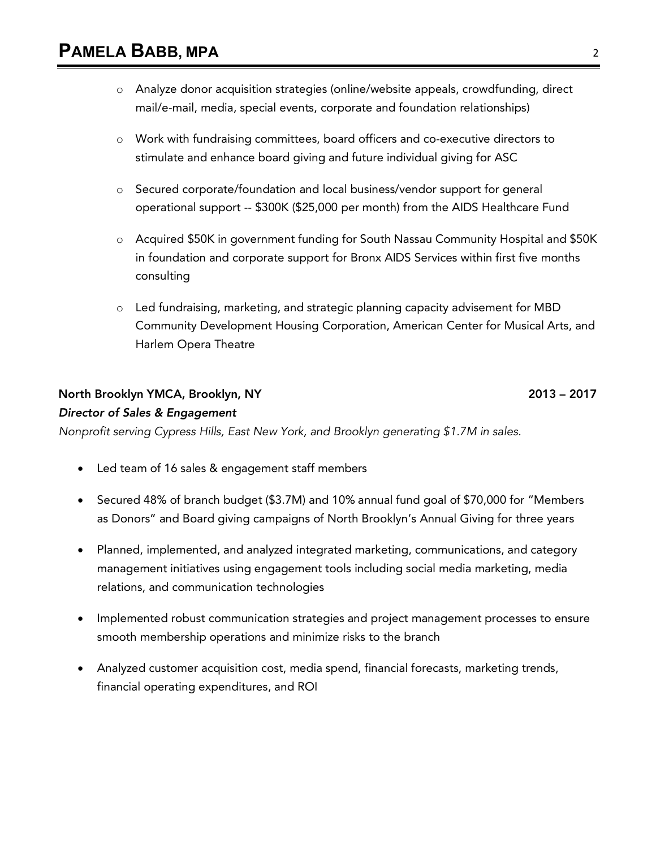- o Analyze donor acquisition strategies (online/website appeals, crowdfunding, direct mail/e-mail, media, special events, corporate and foundation relationships)
- o Work with fundraising committees, board officers and co-executive directors to stimulate and enhance board giving and future individual giving for ASC
- o Secured corporate/foundation and local business/vendor support for general operational support -- \$300K (\$25,000 per month) from the AIDS Healthcare Fund
- o Acquired \$50K in government funding for South Nassau Community Hospital and \$50K in foundation and corporate support for Bronx AIDS Services within first five months consulting
- $\circ$  Led fundraising, marketing, and strategic planning capacity advisement for MBD Community Development Housing Corporation, American Center for Musical Arts, and Harlem Opera Theatre

### North Brooklyn YMCA, Brooklyn, NY 2013 – 2017

# *Director of Sales & Engagement*

*Nonprofit serving Cypress Hills, East New York, and Brooklyn generating \$1.7M in sales.*

- Led team of 16 sales & engagement staff members
- Secured 48% of branch budget (\$3.7M) and 10% annual fund goal of \$70,000 for "Members as Donors" and Board giving campaigns of North Brooklyn's Annual Giving for three years
- Planned, implemented, and analyzed integrated marketing, communications, and category management initiatives using engagement tools including social media marketing, media relations, and communication technologies
- Implemented robust communication strategies and project management processes to ensure smooth membership operations and minimize risks to the branch
- Analyzed customer acquisition cost, media spend, financial forecasts, marketing trends, financial operating expenditures, and ROI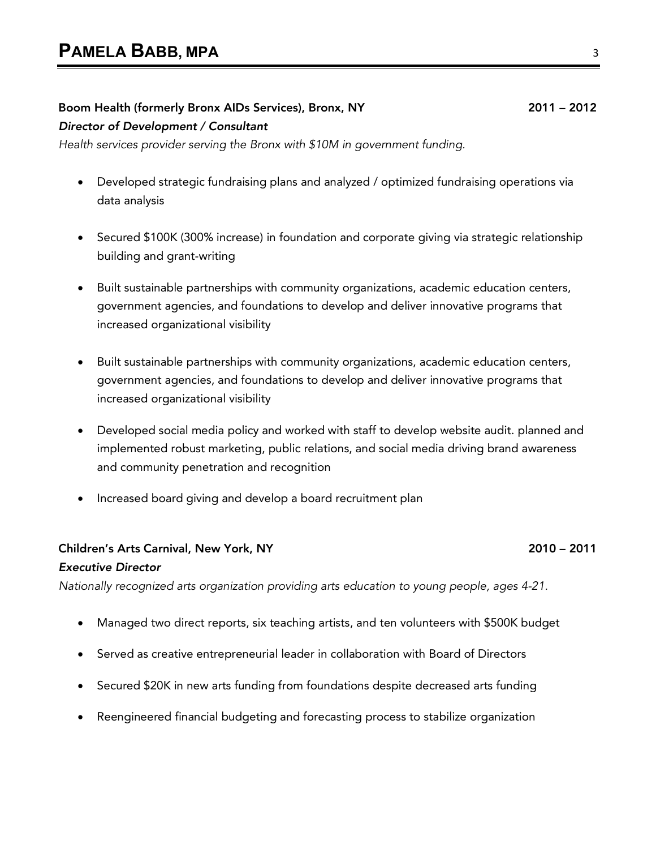# Boom Health (formerly Bronx AIDs Services), Bronx, NY 2011 – 2012

*Director of Development / Consultant*

*Health services provider serving the Bronx with \$10M in government funding.*

- Developed strategic fundraising plans and analyzed / optimized fundraising operations via data analysis
- Secured \$100K (300% increase) in foundation and corporate giving via strategic relationship building and grant-writing
- Built sustainable partnerships with community organizations, academic education centers, government agencies, and foundations to develop and deliver innovative programs that increased organizational visibility
- Built sustainable partnerships with community organizations, academic education centers, government agencies, and foundations to develop and deliver innovative programs that increased organizational visibility
- Developed social media policy and worked with staff to develop website audit. planned and implemented robust marketing, public relations, and social media driving brand awareness and community penetration and recognition
- Increased board giving and develop a board recruitment plan

#### Children's Arts Carnival, New York, NY 2010 – 2011

#### *Executive Director*

*Nationally recognized arts organization providing arts education to young people, ages 4-21.*

- Managed two direct reports, six teaching artists, and ten volunteers with \$500K budget
- Served as creative entrepreneurial leader in collaboration with Board of Directors
- Secured \$20K in new arts funding from foundations despite decreased arts funding
- Reengineered financial budgeting and forecasting process to stabilize organization